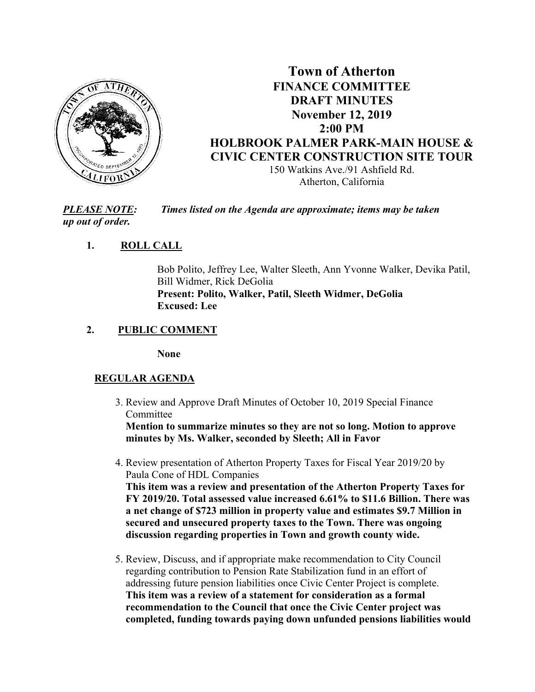

# **Town of Atherton FINANCE COMMITTEE DRAFT MINUTES November 12, 2019 2:00 PM HOLBROOK PALMER PARK-MAIN HOUSE & CIVIC CENTER CONSTRUCTION SITE TOUR**  150 Watkins Ave./91 Ashfield Rd.

Atherton, California

*PLEASE NOTE: Times listed on the Agenda are approximate; items may be taken up out of order.* 

# **1. ROLL CALL**

Bob Polito, Jeffrey Lee, Walter Sleeth, Ann Yvonne Walker, Devika Patil, Bill Widmer, Rick DeGolia **Present: Polito, Walker, Patil, Sleeth Widmer, DeGolia Excused: Lee** 

### **2. PUBLIC COMMENT**

**None** 

# **REGULAR AGENDA**

 3. Review and Approve Draft Minutes of October 10, 2019 Special Finance Committee

 **Mention to summarize minutes so they are not so long. Motion to approve minutes by Ms. Walker, seconded by Sleeth; All in Favor** 

 4. Review presentation of Atherton Property Taxes for Fiscal Year 2019/20 by Paula Cone of HDL Companies **This item was a review and presentation of the Atherton Property Taxes for** 

 **FY 2019/20. Total assessed value increased 6.61% to \$11.6 Billion. There was a net change of \$723 million in property value and estimates \$9.7 Million in secured and unsecured property taxes to the Town. There was ongoing discussion regarding properties in Town and growth county wide.** 

 5. Review, Discuss, and if appropriate make recommendation to City Council regarding contribution to Pension Rate Stabilization fund in an effort of addressing future pension liabilities once Civic Center Project is complete. **This item was a review of a statement for consideration as a formal recommendation to the Council that once the Civic Center project was completed, funding towards paying down unfunded pensions liabilities would**